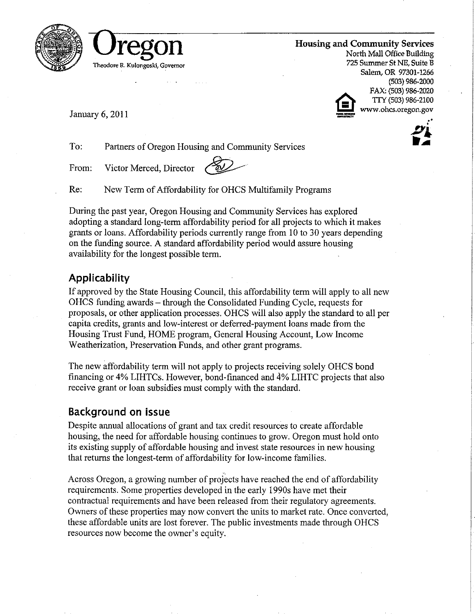



**Housing and Community Services** 

North Mall Office Building 725 Summer St NE, Suite B Salem, OR 97301-1266 (503) 986-2000 FAX: (503) 986-2020 TTY (503) 986-2100 www.ohcs.oregon.gov

January 6, 2011

To: Partners of Oregon Housing and Community Services

Victor Merced, Director From:

Re: New Term of Affordability for OHCS Multifamily Programs

During the past year, Oregon Housing and Community Services has explored adopting a standard long-term affordability period for all projects to which it makes grants or loans. Affordability periods currently range from 10 to 30 years depending on the funding source. A standard affordability period would assure housing availability for the longest possible term.

# Applicability

If approved by the State Housing Council, this affordability term will apply to all new OHCS funding awards – through the Consolidated Funding Cycle, requests for proposals, or other application processes. OHCS will also apply the standard to all per capita credits, grants and low-interest or deferred-payment loans made from the Housing Trust Fund, HOME program, General Housing Account, Low Income Weatherization, Preservation Funds, and other grant programs.

The new affordability term will not apply to projects receiving solely OHCS bond financing or 4% LIHTCs. However, bond-financed and 4% LIHTC projects that also receive grant or loan subsidies must comply with the standard.

# Background on issue

Despite annual allocations of grant and tax credit resources to create affordable housing, the need for affordable housing continues to grow. Oregon must hold onto its existing supply of affordable housing and invest state resources in new housing that returns the longest-term of affordability for low-income families.

Across Oregon, a growing number of projects have reached the end of affordability requirements. Some properties developed in the early 1990s have met their contractual requirements and have been released from their regulatory agreements. Owners of these properties may now convert the units to market rate. Once converted. these affordable units are lost forever. The public investments made through OHCS resources now become the owner's equity.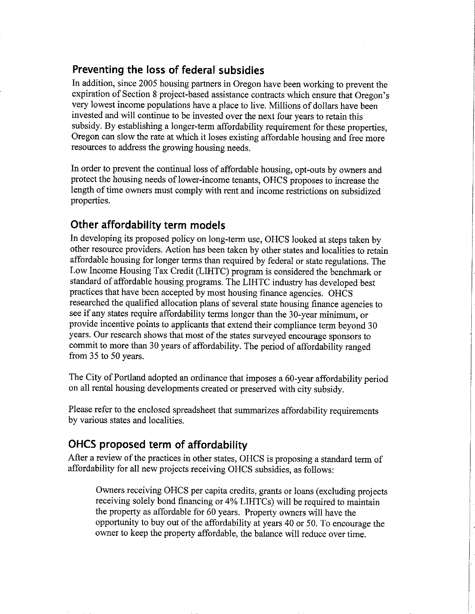#### Preventing the loss of federal subsidies

In addition, since 2005 housing partners in Oregon have been working to prevent the expiration of Section 8 project-based assistance contracts which ensure that Oregon's very lowest income populations have a place to live. Millions of dollars have been invested and will continue to be invested over the next four years to retain this subsidy. By establishing a longer-term affordability requirement for these properties, Oregon can slow the rate at which it loses existing affordable housing and free more resources to address the growing housing needs.

In order to prevent the continual loss of affordable housing, opt-outs by owners and protect the housing needs of lower-income tenants, OHCS proposes to increase the length of time owners must comply with rent and income restrictions on subsidized properties.

### Other affordability term models

In developing its proposed policy on long-term use, OHCS looked at steps taken by other resource providers. Action has been taken by other states and localities to retain affordable housing for longer terms than required by federal or state regulations. The Low Income Housing Tax Credit (LIHTC) program is considered the benchmark or standard of affordable housing programs. The LIHTC industry has developed best practices that have been accepted by most housing finance agencies. OHCS researched the qualified allocation plans of several state housing finance agencies to see if any states require affordability terms longer than the 30-year minimum, or provide incentive points to applicants that extend their compliance term beyond 30 years. Our research shows that most of the states surveyed encourage sponsors to commit to more than 30 years of affordability. The period of affordability ranged from 35 to 50 years.

The City of Portland adopted an ordinance that imposes a 60-year affordability period on all rental housing developments created or preserved with city subsidy.

Please refer to the enclosed spreadsheet that summarizes affordability requirements by various states and localities.

# OHCS proposed term of affordability

After a review of the practices in other states, OHCS is proposing a standard term of affordability for all new projects receiving OHCS subsidies, as follows:

Owners receiving OHCS per capita credits, grants or loans (excluding projects receiving solely bond financing or 4% LIHTCs) will be required to maintain the property as affordable for 60 years. Property owners will have the opportunity to buy out of the affordability at years 40 or 50. To encourage the owner to keep the property affordable, the balance will reduce over time.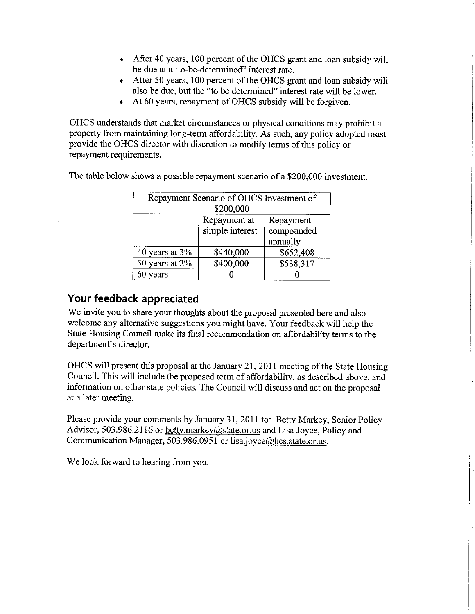- After 40 years, 100 percent of the OHCS grant and loan subsidy will be due at a 'to-be-determined" interest rate.
- + After 50 years, 100 percent of the OHCS grant and loan subsidy will also be due, but the "to be determined" interest rate will be lower.
- $\star$  At 60 years, repayment of OHCS subsidy will be forgiven.

OHCS understands that market circumstances or physical conditions may prohibit a property from maintaining long-term affordability. As such, any policy adopted must provide the OHCS director with discretion to modify terms of this policy or repayment requirements.

| Repayment Scenario of OHCS Investment of<br>\$200,000 |                                 |                                     |  |  |  |  |  |  |
|-------------------------------------------------------|---------------------------------|-------------------------------------|--|--|--|--|--|--|
|                                                       | Repayment at<br>simple interest | Repayment<br>compounded<br>annually |  |  |  |  |  |  |
| 40 years at 3%                                        | \$440,000                       | \$652,408                           |  |  |  |  |  |  |
| 50 years at 2%                                        | \$400,000                       | \$538,317                           |  |  |  |  |  |  |
| 60 years                                              |                                 |                                     |  |  |  |  |  |  |

The table below shows a possible repayment scenario of a \$200,000 investment.

#### Your feedback appreciated

We invite you to share your thoughts about the proposal presented here and also welcome any alternative suggestions you might have. Your feedback will help the State Housing Council make its final recommendation on affordability terms to the department's director.

OHCS will present this proposal at the January 21, 2011 meeting of the State Housing Council. This will include the proposed term of affordability, as described above, and information on other state policies. The Council will discuss and act on the proposal at a later meeting.

Please provide your comments by January 31, 2011 to: Betty Markey, Senior Policy Advisor, 503.986.2116 or betty markey@state.or.us and Lisa Joyce, Policy and Communication Manager, 503.986.0951 or lisa.joyce@hcs.state.or.us.

We look forward to hearing from you.